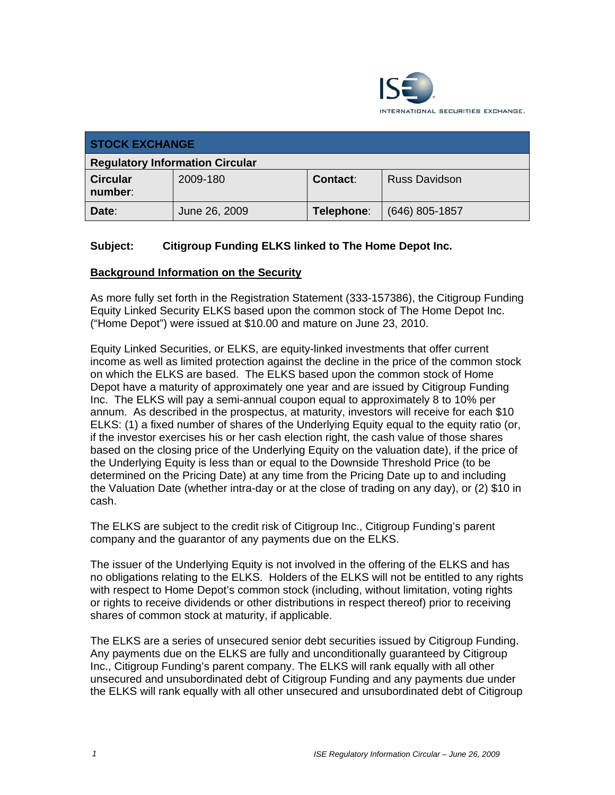

| <b>STOCK EXCHANGE</b>                  |               |            |                      |
|----------------------------------------|---------------|------------|----------------------|
| <b>Regulatory Information Circular</b> |               |            |                      |
| <b>Circular</b><br>number:             | 2009-180      | Contact:   | <b>Russ Davidson</b> |
| Date:                                  | June 26, 2009 | Telephone: | $(646)$ 805-1857     |

# **Subject: Citigroup Funding ELKS linked to The Home Depot Inc.**

### **Background Information on the Security**

As more fully set forth in the Registration Statement (333-157386), the Citigroup Funding Equity Linked Security ELKS based upon the common stock of The Home Depot Inc. ("Home Depot") were issued at \$10.00 and mature on June 23, 2010.

Equity Linked Securities, or ELKS, are equity-linked investments that offer current income as well as limited protection against the decline in the price of the common stock on which the ELKS are based. The ELKS based upon the common stock of Home Depot have a maturity of approximately one year and are issued by Citigroup Funding Inc. The ELKS will pay a semi-annual coupon equal to approximately 8 to 10% per annum. As described in the prospectus, at maturity, investors will receive for each \$10 ELKS: (1) a fixed number of shares of the Underlying Equity equal to the equity ratio (or, if the investor exercises his or her cash election right, the cash value of those shares based on the closing price of the Underlying Equity on the valuation date), if the price of the Underlying Equity is less than or equal to the Downside Threshold Price (to be determined on the Pricing Date) at any time from the Pricing Date up to and including the Valuation Date (whether intra-day or at the close of trading on any day), or (2) \$10 in cash.

The ELKS are subject to the credit risk of Citigroup Inc., Citigroup Funding's parent company and the guarantor of any payments due on the ELKS.

The issuer of the Underlying Equity is not involved in the offering of the ELKS and has no obligations relating to the ELKS. Holders of the ELKS will not be entitled to any rights with respect to Home Depot's common stock (including, without limitation, voting rights or rights to receive dividends or other distributions in respect thereof) prior to receiving shares of common stock at maturity, if applicable.

The ELKS are a series of unsecured senior debt securities issued by Citigroup Funding. Any payments due on the ELKS are fully and unconditionally guaranteed by Citigroup Inc., Citigroup Funding's parent company. The ELKS will rank equally with all other unsecured and unsubordinated debt of Citigroup Funding and any payments due under the ELKS will rank equally with all other unsecured and unsubordinated debt of Citigroup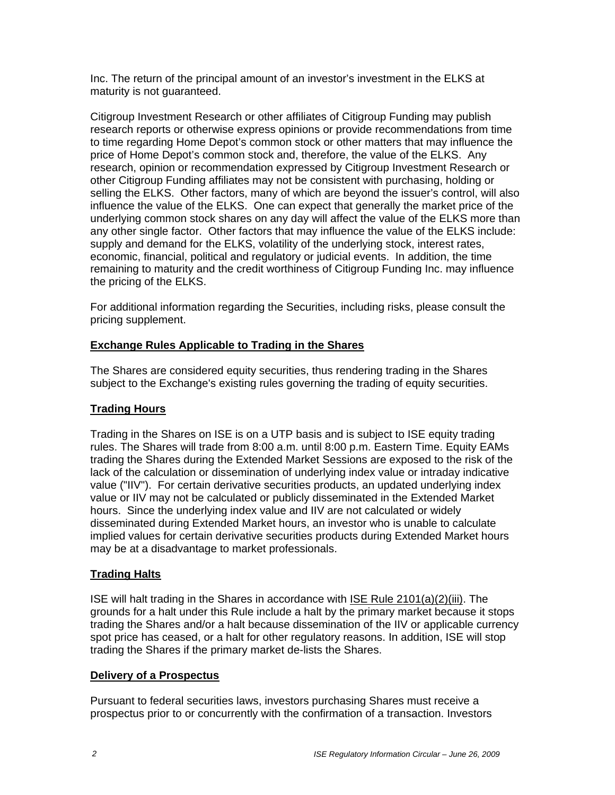Inc. The return of the principal amount of an investor's investment in the ELKS at maturity is not guaranteed.

Citigroup Investment Research or other affiliates of Citigroup Funding may publish research reports or otherwise express opinions or provide recommendations from time to time regarding Home Depot's common stock or other matters that may influence the price of Home Depot's common stock and, therefore, the value of the ELKS. Any research, opinion or recommendation expressed by Citigroup Investment Research or other Citigroup Funding affiliates may not be consistent with purchasing, holding or selling the ELKS. Other factors, many of which are beyond the issuer's control, will also influence the value of the ELKS. One can expect that generally the market price of the underlying common stock shares on any day will affect the value of the ELKS more than any other single factor. Other factors that may influence the value of the ELKS include: supply and demand for the ELKS, volatility of the underlying stock, interest rates, economic, financial, political and regulatory or judicial events. In addition, the time remaining to maturity and the credit worthiness of Citigroup Funding Inc. may influence the pricing of the ELKS.

For additional information regarding the Securities, including risks, please consult the pricing supplement.

# **Exchange Rules Applicable to Trading in the Shares**

The Shares are considered equity securities, thus rendering trading in the Shares subject to the Exchange's existing rules governing the trading of equity securities.

# **Trading Hours**

Trading in the Shares on ISE is on a UTP basis and is subject to ISE equity trading rules. The Shares will trade from 8:00 a.m. until 8:00 p.m. Eastern Time. Equity EAMs trading the Shares during the Extended Market Sessions are exposed to the risk of the lack of the calculation or dissemination of underlying index value or intraday indicative value ("IIV"). For certain derivative securities products, an updated underlying index value or IIV may not be calculated or publicly disseminated in the Extended Market hours. Since the underlying index value and IIV are not calculated or widely disseminated during Extended Market hours, an investor who is unable to calculate implied values for certain derivative securities products during Extended Market hours may be at a disadvantage to market professionals.

### **Trading Halts**

ISE will halt trading in the Shares in accordance with ISE Rule 2101(a)(2)(iii). The grounds for a halt under this Rule include a halt by the primary market because it stops trading the Shares and/or a halt because dissemination of the IIV or applicable currency spot price has ceased, or a halt for other regulatory reasons. In addition, ISE will stop trading the Shares if the primary market de-lists the Shares.

### **Delivery of a Prospectus**

Pursuant to federal securities laws, investors purchasing Shares must receive a prospectus prior to or concurrently with the confirmation of a transaction. Investors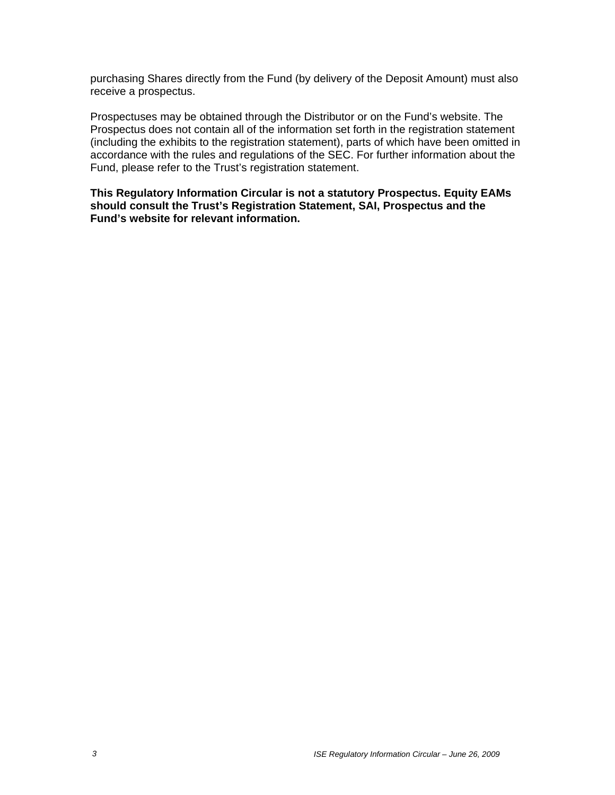purchasing Shares directly from the Fund (by delivery of the Deposit Amount) must also receive a prospectus.

Prospectuses may be obtained through the Distributor or on the Fund's website. The Prospectus does not contain all of the information set forth in the registration statement (including the exhibits to the registration statement), parts of which have been omitted in accordance with the rules and regulations of the SEC. For further information about the Fund, please refer to the Trust's registration statement.

**This Regulatory Information Circular is not a statutory Prospectus. Equity EAMs should consult the Trust's Registration Statement, SAI, Prospectus and the Fund's website for relevant information.**